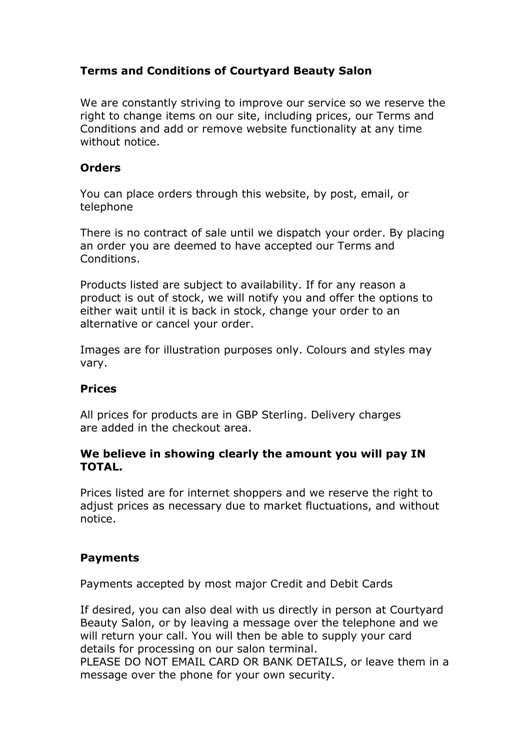# **Terms and Conditions of Courtyard Beauty Salon**

We are constantly striving to improve our service so we reserve the right to change items on our site, including prices, our Terms and Conditions and add or remove website functionality at any time without notice.

#### **Orders**

You can place orders through this website, by post, email, or telephone

There is no contract of sale until we dispatch your order. By placing an order you are deemed to have accepted our Terms and Conditions.

Products listed are subject to availability. If for any reason a product is out of stock, we will notify you and offer the options to either wait until it is back in stock, change your order to an alternative or cancel your order.

Images are for illustration purposes only. Colours and styles may vary.

#### **Prices**

All prices for products are in GBP Sterling. Delivery charges are added in the checkout area.

### **We believe in showing clearly the amount you will pay IN TOTAL.**

Prices listed are for internet shoppers and we reserve the right to adjust prices as necessary due to market fluctuations, and without notice.

## **Payments**

Payments accepted by most major Credit and Debit Cards

If desired, you can also deal with us directly in person at Courtyard Beauty Salon, or by leaving a message over the telephone and we will return your call. You will then be able to supply your card details for processing on our salon terminal.

PLEASE DO NOT EMAIL CARD OR BANK DETAILS, or leave them in a message over the phone for your own security.